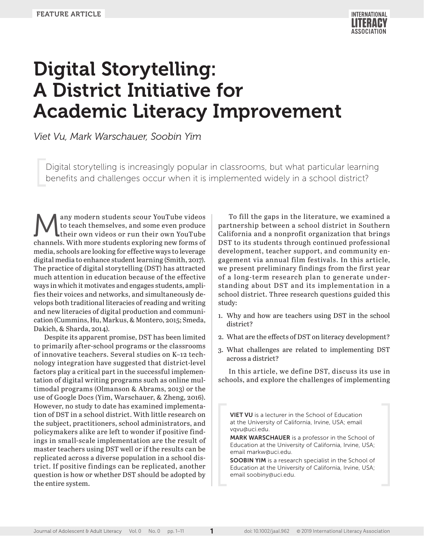# Digital Storytelling: A District Initiative for Academic Literacy Improvement

*Viet Vu, Mark Warschauer, Soobin Yim*

Digital storytelling is increasingly popular in classrooms, but what particular learning benefits and challenges occur when it is implemented widely in a school district?

Many modern students scour YouTube videos<br>to teach themselves, and some even produce<br>channels With more students exploring new forms of to teach themselves, and some even produce their own videos or run their own YouTube channels. With more students exploring new forms of media, schools are looking for effective ways to leverage digital media to enhance student learning (Smith, 2017). The practice of digital storytelling (DST) has attracted much attention in education because of the effective ways in which it motivates and engages students, amplifies their voices and networks, and simultaneously develops both traditional literacies of reading and writing and new literacies of digital production and communication (Cummins, Hu, Markus, & Montero, 2015; Smeda, Dakich, & Sharda, 2014).

Despite its apparent promise, DST has been limited to primarily after-school programs or the classrooms of innovative teachers. Several studies on K–12 technology integration have suggested that district-level factors play a critical part in the successful implementation of digital writing programs such as online multimodal programs (Olmanson & Abrams, 2013) or the use of Google Docs (Yim, Warschauer, & Zheng, 2016). However, no study to date has examined implementation of DST in a school district. With little research on the subject, practitioners, school administrators, and policymakers alike are left to wonder if positive findings in small-scale implementation are the result of master teachers using DST well or if the results can be replicated across a diverse population in a school district. If positive findings can be replicated, another question is how or whether DST should be adopted by the entire system.

To fill the gaps in the literature, we examined a partnership between a school district in Southern California and a nonprofit organization that brings DST to its students through continued professional development, teacher support, and community engagement via annual film festivals. In this article, we present preliminary findings from the first year of a long-term research plan to generate understanding about DST and its implementation in a school district. Three research questions guided this study:

- 1. Why and how are teachers using DST in the school district?
- 2. What are the effects of DST on literacy development?
- 3. What challenges are related to implementing DST across a district?

In this article, we define DST, discuss its use in schools, and explore the challenges of implementing

VIET VU is a lecturer in the School of Education at the University of California, Irvine, USA; email [vqvu@uci.edu](mailto:vqvu@uci.edu).

MARK WARSCHAUER is a professor in the School of Education at the University of California, Irvine, USA; email [markw@uci.edu.](mailto:markw@uci.edu)

SOOBIN YIM is a research specialist in the School of Education at the University of California, Irvine, USA; email [soobiny@uci.edu](mailto:soobiny@uci.edu).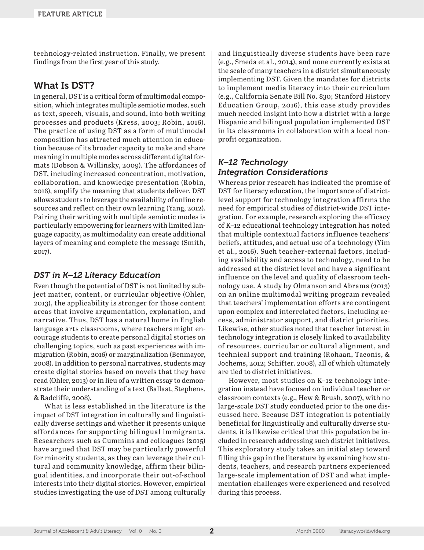technology-related instruction. Finally, we present findings from the first year of this study.

# What Is DST?

In general, DST is a critical form of multimodal composition, which integrates multiple semiotic modes, such as text, speech, visuals, and sound, into both writing processes and products (Kress, 2003; Robin, 2016). The practice of using DST as a form of multimodal composition has attracted much attention in education because of its broader capacity to make and share meaning in multiple modes across different digital formats (Dobson & Willinsky, 2009). The affordances of DST, including increased concentration, motivation, collaboration, and knowledge presentation (Robin, 2016), amplify the meaning that students deliver. DST allows students to leverage the availability of online resources and reflect on their own learning (Yang, 2012). Pairing their writing with multiple semiotic modes is particularly empowering for learners with limited language capacity, as multimodality can create additional layers of meaning and complete the message (Smith, 2017).

## *DST in K–12 Literacy Education*

Even though the potential of DST is not limited by subject matter, content, or curricular objective (Ohler, 2013), the applicability is stronger for those content areas that involve argumentation, explanation, and narrative. Thus, DST has a natural home in English language arts classrooms, where teachers might encourage students to create personal digital stories on challenging topics, such as past experiences with immigration (Robin, 2016) or marginalization (Benmayor, 2008). In addition to personal narratives, students may create digital stories based on novels that they have read (Ohler, 2013) or in lieu of a written essay to demonstrate their understanding of a text (Ballast, Stephens, & Radcliffe, 2008).

What is less established in the literature is the impact of DST integration in culturally and linguistically diverse settings and whether it presents unique affordances for supporting bilingual immigrants. Researchers such as Cummins and colleagues (2015) have argued that DST may be particularly powerful for minority students, as they can leverage their cultural and community knowledge, affirm their bilingual identities, and incorporate their out-of-school interests into their digital stories. However, empirical studies investigating the use of DST among culturally and linguistically diverse students have been rare (e.g., Smeda et al., 2014), and none currently exists at the scale of many teachers in a district simultaneously implementing DST. Given the mandates for districts to implement media literacy into their curriculum (e.g., California Senate Bill No. 830; Stanford History Education Group, 2016), this case study provides much needed insight into how a district with a large Hispanic and bilingual population implemented DST in its classrooms in collaboration with a local nonprofit organization.

## *K–12 Technology Integration Considerations*

Whereas prior research has indicated the promise of DST for literacy education, the importance of districtlevel support for technology integration affirms the need for empirical studies of district-wide DST integration. For example, research exploring the efficacy of K–12 educational technology integration has noted that multiple contextual factors influence teachers' beliefs, attitudes, and actual use of a technology (Yim et al., 2016). Such teacher-external factors, including availability and access to technology, need to be addressed at the district level and have a significant influence on the level and quality of classroom technology use. A study by Olmanson and Abrams (2013) on an online multimodal writing program revealed that teachers' implementation efforts are contingent upon complex and interrelated factors, including access, administrator support, and district priorities. Likewise, other studies noted that teacher interest in technology integration is closely linked to availability of resources, curricular or cultural alignment, and technical support and training (Rohaan, Taconis, & Jochems, 2012; Schifter, 2008), all of which ultimately are tied to district initiatives.

However, most studies on K–12 technology integration instead have focused on individual teacher or classroom contexts (e.g., Hew & Brush, 2007), with no large-scale DST study conducted prior to the one discussed here. Because DST integration is potentially beneficial for linguistically and culturally diverse students, it is likewise critical that this population be included in research addressing such district initiatives. This exploratory study takes an initial step toward filling this gap in the literature by examining how students, teachers, and research partners experienced large-scale implementation of DST and what implementation challenges were experienced and resolved during this process.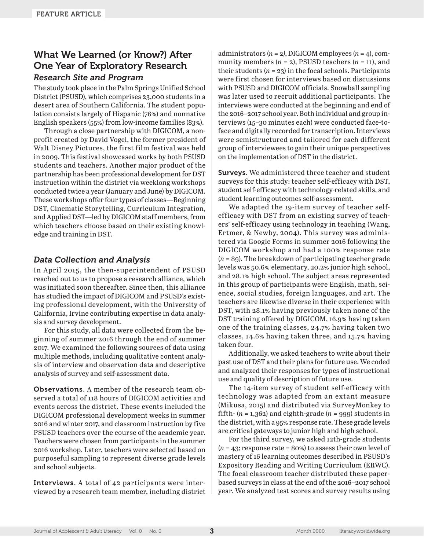# What We Learned (or Know?) After One Year of Exploratory Research *Research Site and Program*

The study took place in the Palm Springs Unified School District (PSUSD), which comprises 23,000 students in a desert area of Southern California. The student population consists largely of Hispanic (76%) and nonnative English speakers (55%) from low-income families (83%).

Through a close partnership with DIGICOM, a nonprofit created by David Vogel, the former president of Walt Disney Pictures, the first film festival was held in 2009. This festival showcased works by both PSUSD students and teachers. Another major product of the partnership has been professional development for DST instruction within the district via weeklong workshops conducted twice a year (January and June) by DIGICOM. These workshops offer four types of classes—Beginning DST, Cinematic Storytelling, Curriculum Integration, and Applied DST—led by DIGICOM staff members, from which teachers choose based on their existing knowledge and training in DST.

## *Data Collection and Analysis*

In April 2015, the then-superintendent of PSUSD reached out to us to propose a research alliance, which was initiated soon thereafter. Since then, this alliance has studied the impact of DIGICOM and PSUSD's existing professional development, with the University of California, Irvine contributing expertise in data analysis and survey development.

For this study, all data were collected from the beginning of summer 2016 through the end of summer 2017. We examined the following sources of data using multiple methods, including qualitative content analysis of interview and observation data and descriptive analysis of survey and self-assessment data.

Observations. A member of the research team observed a total of 118 hours of DIGICOM activities and events across the district. These events included the DIGICOM professional development weeks in summer 2016 and winter 2017, and classroom instruction by five PSUSD teachers over the course of the academic year. Teachers were chosen from participants in the summer 2016 workshop. Later, teachers were selected based on purposeful sampling to represent diverse grade levels and school subjects.

Interviews. A total of 42 participants were interviewed by a research team member, including district administrators  $(n = 2)$ , DIGICOM employees  $(n = 4)$ , community members  $(n = 2)$ , PSUSD teachers  $(n = 11)$ , and their students  $(n = 23)$  in the focal schools. Participants were first chosen for interviews based on discussions with PSUSD and DIGICOM officials. Snowball sampling was later used to recruit additional participants. The interviews were conducted at the beginning and end of the 2016–2017 school year. Both individual and group interviews (15–30 minutes each) were conducted face-toface and digitally recorded for transcription. Interviews were semistructured and tailored for each different group of interviewees to gain their unique perspectives on the implementation of DST in the district.

Surveys. We administered three teacher and student surveys for this study: teacher self-efficacy with DST, student self-efficacy with technology-related skills, and student learning outcomes self-assessment.

We adapted the 19-item survey of teacher selfefficacy with DST from an existing survey of teachers' self-efficacy using technology in teaching (Wang, Ertmer, & Newby, 2004). This survey was administered via Google Forms in summer 2016 following the DIGICOM workshop and had a 100% response rate (*n* = 89). The breakdown of participating teacher grade levels was 50.6% elementary, 20.2% junior high school, and 28.1% high school. The subject areas represented in this group of participants were English, math, science, social studies, foreign languages, and art. The teachers are likewise diverse in their experience with DST, with 28.1% having previously taken none of the DST training offered by DIGICOM, 16.9% having taken one of the training classes, 24.7% having taken two classes, 14.6% having taken three, and 15.7% having taken four.

Additionally, we asked teachers to write about their past use of DST and their plans for future use. We coded and analyzed their responses for types of instructional use and quality of description of future use.

The 14-item survey of student self-efficacy with technology was adapted from an extant measure (Mikusa, 2015) and distributed via SurveyMonkey to fifth-  $(n = 1,362)$  and eighth-grade  $(n = 999)$  students in the district, with a 95% response rate. These grade levels are critical gateways to junior high and high school.

For the third survey, we asked 12th-grade students  $(n = 43;$  response rate = 80%) to assess their own level of mastery of 16 learning outcomes described in PSUSD's Expository Reading and Writing Curriculum (ERWC). The focal classroom teacher distributed these paperbased surveys in class at the end of the 2016–2017 school year. We analyzed test scores and survey results using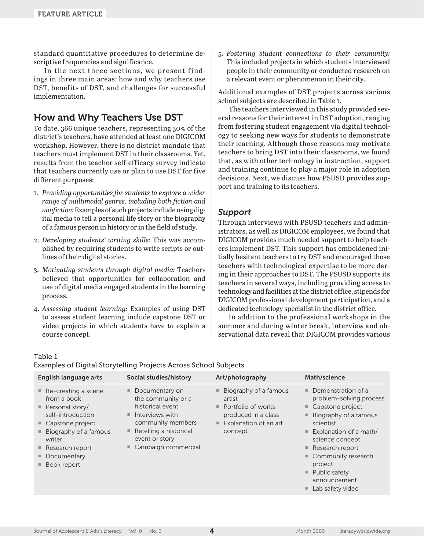standard quantitative procedures to determine descriptive frequencies and significance.

In the next three sections, we present findings in three main areas: how and why teachers use DST, benefits of DST, and challenges for successful implementation.

# How and Why Teachers Use DST

To date, 366 unique teachers, representing 30% of the district's teachers, have attended at least one DIGICOM workshop. However, there is no district mandate that teachers must implement DST in their classrooms. Yet, results from the teacher self-efficacy survey indicate that teachers currently use or plan to use DST for five different purposes:

- 1. *Providing opportunities for students to explore a wider range of multimodal genres, including both fiction and nonfiction:* Examples of such projects include using digital media to tell a personal life story or the biography of a famous person in history or in the field of study.
- 2. *Developing students' writing skills:* This was accomplished by requiring students to write scripts or outlines of their digital stories.
- 3. *Motivating students through digital media:* Teachers believed that opportunities for collaboration and use of digital media engaged students in the learning process.
- 4. *Assessing student learning:* Examples of using DST to assess student learning include capstone DST or video projects in which students have to explain a course concept.

5. *Fostering student connections to their community:* This included projects in which students interviewed people in their community or conducted research on a relevant event or phenomenon in their city.

Additional examples of DST projects across various school subjects are described in Table 1.

The teachers interviewed in this study provided several reasons for their interest in DST adoption, ranging from fostering student engagement via digital technology to seeking new ways for students to demonstrate their learning. Although those reasons may motivate teachers to bring DST into their classrooms, we found that, as with other technology in instruction, support and training continue to play a major role in adoption decisions. Next, we discuss how PSUSD provides support and training to its teachers.

## *Support*

Through interviews with PSUSD teachers and administrators, as well as DIGICOM employees, we found that DIGICOM provides much needed support to help teachers implement DST. This support has emboldened initially hesitant teachers to try DST and encouraged those teachers with technological expertise to be more daring in their approaches to DST. The PSUSD supports its teachers in several ways, including providing access to technology and facilities at the district office, stipends for DIGICOM professional development participation, and a dedicated technology specialist in the district office.

In addition to the professional workshops in the summer and during winter break, interview and observational data reveal that DIGICOM provides various

## Table 1

Examples of Digital Storytelling Projects Across School Subjects

| $\blacksquare$ Re-creating a scene<br>Documentary on<br>$\blacksquare$ Biography of a famous<br>Demonstration of a<br>ш.<br>problem-solving process<br>from a book<br>the community or a<br>artist<br>historical event<br>Capstone project<br>$\blacksquare$ Portfolio of works<br>$\blacksquare$ Personal story/<br>$\blacksquare$<br>self-introduction<br>Interviews with<br>produced in a class<br>٠<br>Biography of a famous<br>community members<br>Explanation of an art<br>$\blacksquare$ Capstone project<br>scientist<br>$\equiv$<br>Retelling a historical<br>■<br>concept<br>Biography of a famous<br>Explanation of a math/<br>event or story<br>science concept<br>writer<br>Campaign commercial<br>$\blacksquare$ Research report<br>$\blacksquare$ Research report<br>■ Community research<br>■ Documentary<br>project<br>Book report<br>$\blacksquare$ Public safety | English language arts | Social studies/history | Art/photography | Math/science |
|--------------------------------------------------------------------------------------------------------------------------------------------------------------------------------------------------------------------------------------------------------------------------------------------------------------------------------------------------------------------------------------------------------------------------------------------------------------------------------------------------------------------------------------------------------------------------------------------------------------------------------------------------------------------------------------------------------------------------------------------------------------------------------------------------------------------------------------------------------------------------------------|-----------------------|------------------------|-----------------|--------------|
| Lab safety video                                                                                                                                                                                                                                                                                                                                                                                                                                                                                                                                                                                                                                                                                                                                                                                                                                                                     |                       |                        |                 | announcement |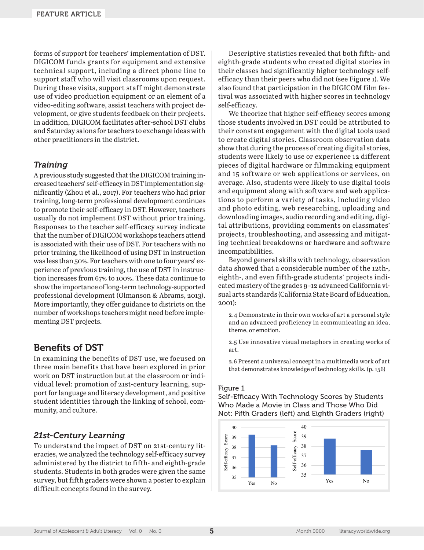forms of support for teachers' implementation of DST. DIGICOM funds grants for equipment and extensive technical support, including a direct phone line to support staff who will visit classrooms upon request. During these visits, support staff might demonstrate use of video production equipment or an element of a video-editing software, assist teachers with project development, or give students feedback on their projects. In addition, DIGICOM facilitates after-school DST clubs and Saturday salons for teachers to exchange ideas with other practitioners in the district.

## *Training*

A previous study suggested that the DIGICOM training increased teachers' self-efficacy in DST implementation significantly (Zhou et al., 2017). For teachers who had prior training, long-term professional development continues to promote their self-efficacy in DST. However, teachers usually do not implement DST without prior training. Responses to the teacher self-efficacy survey indicate that the number of DIGICOM workshops teachers attend is associated with their use of DST. For teachers with no prior training, the likelihood of using DST in instruction was less than 50%. For teachers with one to four years' experience of previous training, the use of DST in instruction increases from 67% to 100%. These data continue to show the importance of long-term technology-supported professional development (Olmanson & Abrams, 2013). More importantly, they offer guidance to districts on the number of workshops teachers might need before implementing DST projects.

# Benefits of DST

In examining the benefits of DST use, we focused on three main benefits that have been explored in prior work on DST instruction but at the classroom or individual level: promotion of 21st-century learning, support for language and literacy development, and positive student identities through the linking of school, community, and culture.

## *21st-Century Learning*

To understand the impact of DST on 21st-century literacies, we analyzed the technology self-efficacy survey administered by the district to fifth- and eighth-grade students. Students in both grades were given the same survey, but fifth graders were shown a poster to explain difficult concepts found in the survey.

Descriptive statistics revealed that both fifth- and eighth-grade students who created digital stories in their classes had significantly higher technology selfefficacy than their peers who did not (see Figure 1). We also found that participation in the DIGICOM film festival was associated with higher scores in technology self-efficacy.

We theorize that higher self-efficacy scores among those students involved in DST could be attributed to their constant engagement with the digital tools used to create digital stories. Classroom observation data show that during the process of creating digital stories, students were likely to use or experience 12 different pieces of digital hardware or filmmaking equipment and 15 software or web applications or services, on average. Also, students were likely to use digital tools and equipment along with software and web applications to perform a variety of tasks, including video and photo editing, web researching, uploading and downloading images, audio recording and editing, digital attributions, providing comments on classmates' projects, troubleshooting, and assessing and mitigating technical breakdowns or hardware and software incompatibilities.

Beyond general skills with technology, observation data showed that a considerable number of the 12th-, eighth-, and even fifth-grade students' projects indicated mastery of the grades 9–12 advanced California visual arts standards (California State Board of Education, 2001):

2.4 Demonstrate in their own works of art a personal style and an advanced proficiency in communicating an idea, theme, or emotion.

2.5 Use innovative visual metaphors in creating works of art.

2.6 Present a universal concept in a multimedia work of art that demonstrates knowledge of technology skills. (p. 156)

#### Figure 1

Self-Efficacy With Technology Scores by Students Who Made a Movie in Class and Those Who Did Not: Fifth Graders (left) and Eighth Graders (right)

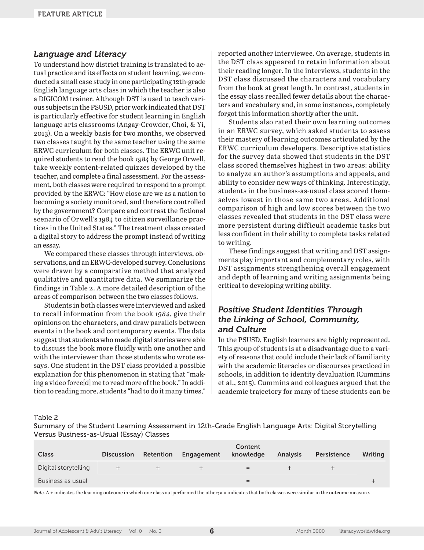## *Language and Literacy*

To understand how district training is translated to actual practice and its effects on student learning, we conducted a small case study in one participating 12th-grade English language arts class in which the teacher is also a DIGICOM trainer. Although DST is used to teach various subjects in the PSUSD, prior work indicated that DST is particularly effective for student learning in English language arts classrooms (Angay-Crowder, Choi, & Yi, 2013). On a weekly basis for two months, we observed two classes taught by the same teacher using the same ERWC curriculum for both classes. The ERWC unit required students to read the book *1984* by George Orwell, take weekly content-related quizzes developed by the teacher, and complete a final assessment. For the assessment, both classes were required to respond to a prompt provided by the ERWC: "How close are we as a nation to becoming a society monitored, and therefore controlled by the government? Compare and contrast the fictional scenario of Orwell's *1984* to citizen surveillance practices in the United States." The treatment class created a digital story to address the prompt instead of writing an essay.

We compared these classes through interviews, observations, and an ERWC-developed survey. Conclusions were drawn by a comparative method that analyzed qualitative and quantitative data. We summarize the findings in Table 2. A more detailed description of the areas of comparison between the two classes follows.

Students in both classes were interviewed and asked to recall information from the book *1984*, give their opinions on the characters, and draw parallels between events in the book and contemporary events. The data suggest that students who made digital stories were able to discuss the book more fluidly with one another and with the interviewer than those students who wrote essays. One student in the DST class provided a possible explanation for this phenomenon in stating that "making a video force[d] me to read more of the book." In addition to reading more, students "had to do it many times,"

reported another interviewee. On average, students in the DST class appeared to retain information about their reading longer. In the interviews, students in the DST class discussed the characters and vocabulary from the book at great length. In contrast, students in the essay class recalled fewer details about the characters and vocabulary and, in some instances, completely forgot this information shortly after the unit.

Students also rated their own learning outcomes in an ERWC survey, which asked students to assess their mastery of learning outcomes articulated by the ERWC curriculum developers. Descriptive statistics for the survey data showed that students in the DST class scored themselves highest in two areas: ability to analyze an author's assumptions and appeals, and ability to consider new ways of thinking. Interestingly, students in the business-as-usual class scored themselves lowest in those same two areas. Additional comparison of high and low scores between the two classes revealed that students in the DST class were more persistent during difficult academic tasks but less confident in their ability to complete tasks related to writing.

These findings suggest that writing and DST assignments play important and complementary roles, with DST assignments strengthening overall engagement and depth of learning and writing assignments being critical to developing writing ability.

## *Positive Student Identities Through the Linking of School, Community, and Culture*

In the PSUSD, English learners are highly represented. This group of students is at a disadvantage due to a variety of reasons that could include their lack of familiarity with the academic literacies or discourses practiced in schools, in addition to identity devaluation (Cummins et al., 2015). Cummins and colleagues argued that the academic trajectory for many of these students can be

#### Table 2

Summary of the Student Learning Assessment in 12th-Grade English Language Arts: Digital Storytelling Versus Business-as-Usual (Essay) Classes

| Class                | <b>Discussion</b> | Retention | Engagement | Content<br>knowledge | <b>Analysis</b> | Persistence | Writing |
|----------------------|-------------------|-----------|------------|----------------------|-----------------|-------------|---------|
| Digital storytelling |                   |           |            | $=$                  |                 |             |         |
| Business as usual    |                   |           |            | =                    |                 |             |         |

*Note.* A + indicates the learning outcome in which one class outperformed the other; a = indicates that both classes were similar in the outcome measure.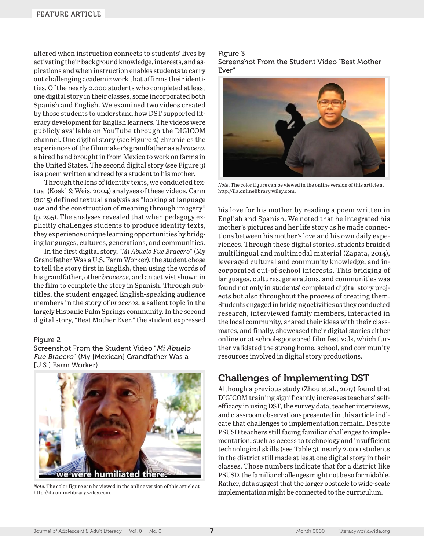altered when instruction connects to students' lives by activating their background knowledge, interests, and aspirations and when instruction enables students to carry out challenging academic work that affirms their identities. Of the nearly 2,000 students who completed at least one digital story in their classes, some incorporated both Spanish and English. We examined two videos created by those students to understand how DST supported literacy development for English learners. The videos were publicly available on YouTube through the DIGICOM channel. One digital story (see Figure 2) chronicles the experiences of the filmmaker's grandfather as a *bracero*, a hired hand brought in from Mexico to work on farms in the United States. The second digital story (see Figure 3) is a poem written and read by a student to his mother.

Through the lens of identity texts, we conducted textual (Koski & Weis, 2004) analyses of these videos. Cann (2015) defined textual analysis as "looking at language use and the construction of meaning through imagery" (p. 295). The analyses revealed that when pedagogy explicitly challenges students to produce identity texts, they experience unique learning opportunities by bridging languages, cultures, generations, and communities.

In the first digital story, "*Mi Abuelo Fue Bracero*" (My Grandfather Was a U.S. Farm Worker), the student chose to tell the story first in English, then using the words of his grandfather, other *braceros*, and an activist shown in the film to complete the story in Spanish. Through subtitles, the student engaged English-speaking audience members in the story of *braceros*, a salient topic in the largely Hispanic Palm Springs community. In the second digital story, "Best Mother Ever," the student expressed

#### Figure 2

Screenshot From the Student Video "Mi Abuelo Fue Bracero" (My [Mexican] Grandfather Was a [U.S.] Farm Worker)



*Note*. The color figure can be viewed in the online version of this article at [http://ila.onlinelibrary.wiley.com.](http://ila.onlinelibrary.wiley.com)

#### Figure 3 Screenshot From the Student Video "Best Mother Ever"



*Note*. The color figure can be viewed in the online version of this article at <http://ila.onlinelibrary.wiley.com>.

his love for his mother by reading a poem written in English and Spanish. We noted that he integrated his mother's pictures and her life story as he made connections between his mother's love and his own daily experiences. Through these digital stories, students braided multilingual and multimodal material (Zapata, 2014), leveraged cultural and community knowledge, and incorporated out-of-school interests. This bridging of languages, cultures, generations, and communities was found not only in students' completed digital story projects but also throughout the process of creating them. Students engaged in bridging activities as they conducted research, interviewed family members, interacted in the local community, shared their ideas with their classmates, and finally, showcased their digital stories either online or at school-sponsored film festivals, which further validated the strong home, school, and community resources involved in digital story productions.

# Challenges of Implementing DST

Although a previous study (Zhou et al., 2017) found that DIGICOM training significantly increases teachers' selfefficacy in using DST, the survey data, teacher interviews, and classroom observations presented in this article indicate that challenges to implementation remain. Despite PSUSD teachers still facing familiar challenges to implementation, such as access to technology and insufficient technological skills (see Table 3), nearly 2,000 students in the district still made at least one digital story in their classes. Those numbers indicate that for a district like PSUSD, the familiar challenges might not be so formidable. Rather, data suggest that the larger obstacle to wide-scale implementation might be connected to the curriculum.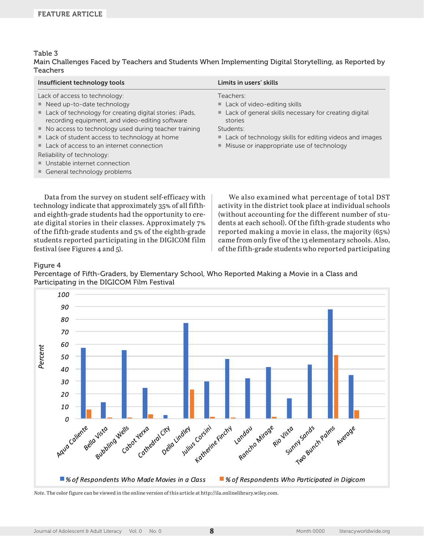#### Table 3

#### Main Challenges Faced by Teachers and Students When Implementing Digital Storytelling, as Reported by **Teachers**

| Insufficient technology tools                                                                                                                                                                                                                                                                                                                                                                                                                                                   | Limits in users' skills                                                                                                                                                                                                                                              |
|---------------------------------------------------------------------------------------------------------------------------------------------------------------------------------------------------------------------------------------------------------------------------------------------------------------------------------------------------------------------------------------------------------------------------------------------------------------------------------|----------------------------------------------------------------------------------------------------------------------------------------------------------------------------------------------------------------------------------------------------------------------|
| Lack of access to technology:<br>$\blacksquare$ Need up-to-date technology<br>■ Lack of technology for creating digital stories: iPads,<br>recording equipment, and video-editing software<br>■ No access to technology used during teacher training<br>$\blacksquare$ Lack of student access to technology at home<br>$\blacksquare$ Lack of access to an internet connection<br>Reliability of technology:<br>■ Unstable internet connection<br>■ General technology problems | Teachers:<br>$\blacksquare$ Lack of video-editing skills<br>■ Lack of general skills necessary for creating digital<br>stories<br>Students:<br>$\blacksquare$ Lack of technology skills for editing videos and images<br>■ Misuse or inappropriate use of technology |
|                                                                                                                                                                                                                                                                                                                                                                                                                                                                                 |                                                                                                                                                                                                                                                                      |

Data from the survey on student self-efficacy with technology indicate that approximately 35% of all fifthand eighth-grade students had the opportunity to create digital stories in their classes. Approximately 7% of the fifth-grade students and 5% of the eighth-grade students reported participating in the DIGICOM film festival (see Figures 4 and 5).

We also examined what percentage of total DST activity in the district took place at individual schools (without accounting for the different number of students at each school). Of the fifth-grade students who reported making a movie in class, the majority (65%) came from only five of the 13 elementary schools. Also, of the fifth-grade students who reported participating

#### Figure 4





*Note*. The color figure can be viewed in the online version of this article at [http://ila.onlinelibrary.wiley.com.](http://ila.onlinelibrary.wiley.com)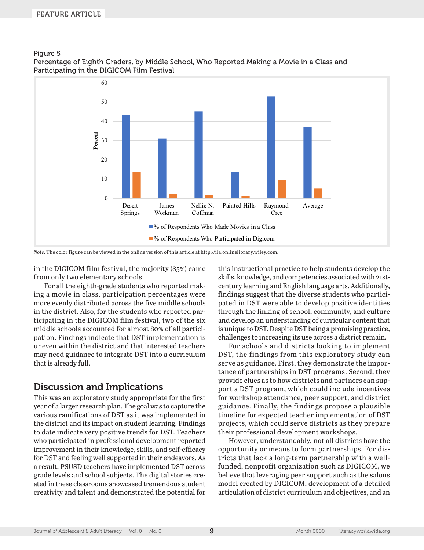#### Figure 5



Percentage of Eighth Graders, by Middle School, Who Reported Making a Movie in a Class and Participating in the DIGICOM Film Festival

*Note*. The color figure can be viewed in the online version of this article at <http://ila.onlinelibrary.wiley.com>.

in the DIGICOM film festival, the majority (85%) came from only two elementary schools.

For all the eighth-grade students who reported making a movie in class, participation percentages were more evenly distributed across the five middle schools in the district. Also, for the students who reported participating in the DIGICOM film festival, two of the six middle schools accounted for almost 80% of all participation. Findings indicate that DST implementation is uneven within the district and that interested teachers may need guidance to integrate DST into a curriculum that is already full.

# Discussion and Implications

This was an exploratory study appropriate for the first year of a larger research plan. The goal was to capture the various ramifications of DST as it was implemented in the district and its impact on student learning. Findings to date indicate very positive trends for DST. Teachers who participated in professional development reported improvement in their knowledge, skills, and self-efficacy for DST and feeling well supported in their endeavors. As a result, PSUSD teachers have implemented DST across grade levels and school subjects. The digital stories created in these classrooms showcased tremendous student creativity and talent and demonstrated the potential for this instructional practice to help students develop the skills, knowledge, and competencies associated with 21stcentury learning and English language arts. Additionally, findings suggest that the diverse students who participated in DST were able to develop positive identities through the linking of school, community, and culture and develop an understanding of curricular content that is unique to DST. Despite DST being a promising practice, challenges to increasing its use across a district remain.

For schools and districts looking to implement DST, the findings from this exploratory study can serve as guidance. First, they demonstrate the importance of partnerships in DST programs. Second, they provide clues as to how districts and partners can support a DST program, which could include incentives for workshop attendance, peer support, and district guidance. Finally, the findings propose a plausible timeline for expected teacher implementation of DST projects, which could serve districts as they prepare their professional development workshops.

However, understandably, not all districts have the opportunity or means to form partnerships. For districts that lack a long-term partnership with a wellfunded, nonprofit organization such as DIGICOM, we believe that leveraging peer support such as the salons model created by DIGICOM, development of a detailed articulation of district curriculum and objectives, and an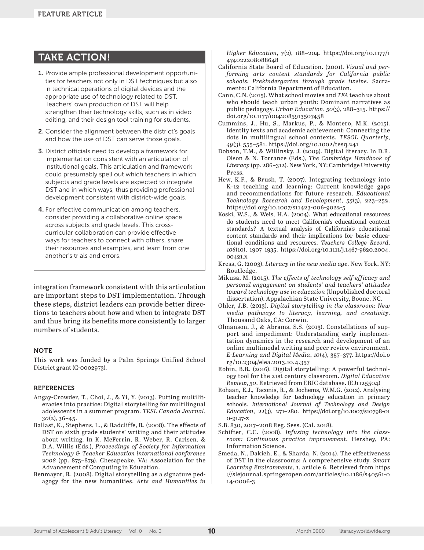## TAKE ACTION!

- 1. Provide ample professional development opportunities for teachers not only in DST techniques but also in technical operations of digital devices and the appropriate use of technology related to DST. Teachers' own production of DST will help strengthen their technology skills, such as in video editing, and their design tool training for students.
- 2. Consider the alignment between the district's goals and how the use of DST can serve those goals.
- 3. District officials need to develop a framework for implementation consistent with an articulation of institutional goals. This articulation and framework could presumably spell out which teachers in which subjects and grade levels are expected to integrate DST and in which ways, thus providing professional development consistent with district-wide goals.
- 4. For effective communication among teachers, consider providing a collaborative online space across subjects and grade levels. This crosscurricular collaboration can provide effective ways for teachers to connect with others, share their resources and examples, and learn from one another's trials and errors.

integration framework consistent with this articulation are important steps to DST implementation. Through these steps, district leaders can provide better directions to teachers about how and when to integrate DST and thus bring its benefits more consistently to larger numbers of students.

#### **NOTE**

This work was funded by a Palm Springs Unified School District grant (C-0002973).

#### **REFERENCES**

- Angay-Crowder, T., Choi, J., & Yi, Y. (2013). Putting multiliteracies into practice: Digital storytelling for multilingual adolescents in a summer program. *TESL Canada Journal*, *30*(2), 36–45.
- Ballast, K., Stephens, L., & Radcliffe, R. (2008). The effects of DST on sixth grade students' writing and their attitudes about writing. In K. McFerrin, R. Weber, R. Carlsen, & D.A. Willis (Eds.), *Proceedings of Society for Information Technology & Teacher Education international conference 2008* (pp. 875–879). Chesapeake, VA: Association for the Advancement of Computing in Education.
- Benmayor, R. (2008). Digital storytelling as a signature pedagogy for the new humanities. *Arts and Humanities in*

*Higher Education*, *7*(2), 188–204. [https://doi.org/10.1177/1](https://doi.org/10.1177/1474022208088648) [474022208088648](https://doi.org/10.1177/1474022208088648)

- California State Board of Education. (2001). *Visual and performing arts content standards for California public schools: Prekindergarten through grade twelve*. Sacramento: California Department of Education.
- Cann, C.N. (2015). What school movies and *TFA* teach us about who should teach urban youth: Dominant narratives as public pedagogy. *Urban Education*, *50*(3), 288–315. [https://](https://doi.org/10.1177/0042085913507458) [doi.org/10.1177/0042085913507458](https://doi.org/10.1177/0042085913507458)
- Cummins, J., Hu, S., Markus, P., & Montero, M.K. (2015). Identity texts and academic achievement: Connecting the dots in multilingual school contexts. *TESOL Quarterly*, *49*(3), 555–581. <https://doi.org/10.1002/tesq.241>
- Dobson, T.M., & Willinsky, J. (2009). Digital literacy. In D.R. Olson & N. Torrance (Eds.), *The Cambridge Handbook of Literacy* (pp. 286–312). New York, NY: Cambridge University Press.
- Hew, K.F., & Brush, T. (2007). Integrating technology into K–12 teaching and learning: Current knowledge gaps and recommendations for future research. *Educational Technology Research and Development*, *55*(3), 223–252. <https://doi.org/10.1007/s11423-006-9022-5>
- Koski, W.S., & Weis, H.A. (2004). What educational resources do students need to meet California's educational content standards? A textual analysis of California's educational content standards and their implications for basic educational conditions and resources. *Teachers College Record*, *106*(10), 1907–1935. [https://doi.org/10.1111/j.1467-9620.2004.](https://doi.org/10.1111/j.1467-9620.2004.00421.x) [00421.x](https://doi.org/10.1111/j.1467-9620.2004.00421.x)
- Kress, G. (2003). *Literacy in the new media age*. New York, NY: Routledge.
- Mikusa, M. (2015). *The effects of technology self-efficacy and personal engagement on students' and teachers' attitudes toward technology use in education* (Unpublished doctoral dissertation). Appalachian State University, Boone, NC.
- Ohler, J.B. (2013). *Digital storytelling in the classroom: New media pathways to literacy, learning, and creativity*. Thousand Oaks, CA: Corwin.
- Olmanson, J., & Abrams, S.S. (2013). Constellations of support and impediment: Understanding early implementation dynamics in the research and development of an online multimodal writing and peer review environment. *E-Learning and Digital Media*, *10*(4), 357–377. [https://doi.o](https://doi.org/10.2304/elea.2013.10.4.357) [rg/10.2304/elea.2013.10.4.357](https://doi.org/10.2304/elea.2013.10.4.357)
- Robin, B.R. (2016). Digital storytelling: A powerful technology tool for the 21st century classroom. *Digital Education Review*, *30*. Retrieved from ERIC database. (EJ1125504)
- Rohaan, E.J., Taconis, R., & Jochems, W.M.G. (2012). Analysing teacher knowledge for technology education in primary schools. *International Journal of Technology and Design Education*, *22*(3), 271–280. [https://doi.org/10.1007/s10798-01](https://doi.org/10.1007/s10798-010-9147-z) [0-9147-z](https://doi.org/10.1007/s10798-010-9147-z)
- S.B. 830, 2017–2018 Reg. Sess. (Cal. 2018).
- Schifter, C.C. (2008). *Infusing technology into the classroom: Continuous practice improvement*. Hershey, PA: Information Science.
- Smeda, N., Dakich, E., & Sharda, N. (2014). The effectiveness of DST in the classrooms: A comprehensive study. *Smart Learning Environments*, *1*, article 6. Retrieved from [https](https://slejournal.springeropen.com/articles/10.1186/s40561-014-0006-3) [://slejournal.springeropen.com/articles/10.1186/s40561-0](https://slejournal.springeropen.com/articles/10.1186/s40561-014-0006-3) [14-0006-3](https://slejournal.springeropen.com/articles/10.1186/s40561-014-0006-3)